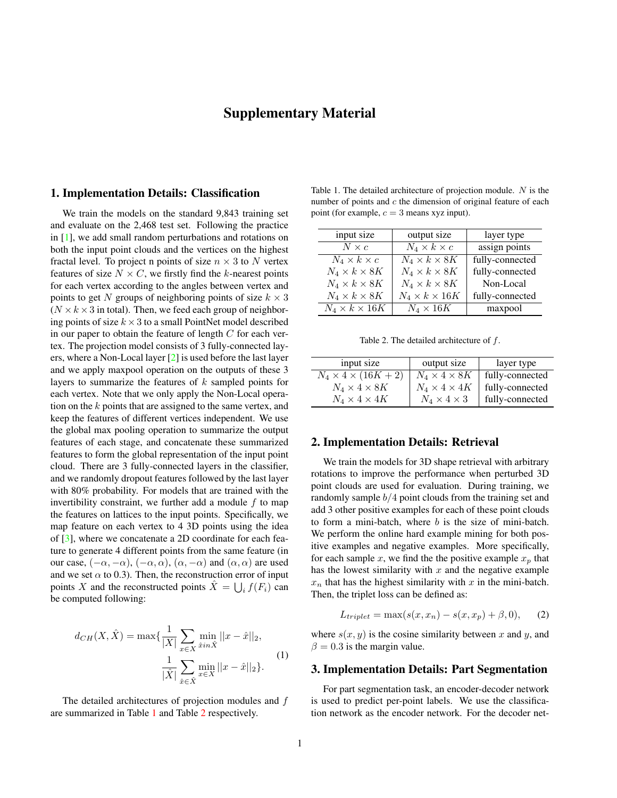# Supplementary Material

### <span id="page-0-2"></span>1. Implementation Details: Classification

We train the models on the standard 9,843 training set and evaluate on the 2,468 test set. Following the practice in [\[1\]](#page-1-0), we add small random perturbations and rotations on both the input point clouds and the vertices on the highest fractal level. To project n points of size  $n \times 3$  to N vertex features of size  $N \times C$ , we firstly find the k-nearest points for each vertex according to the angles between vertex and points to get N groups of neighboring points of size  $k \times 3$  $(N \times k \times 3$  in total). Then, we feed each group of neighboring points of size  $k \times 3$  to a small PointNet model described in our paper to obtain the feature of length  $C$  for each vertex. The projection model consists of 3 fully-connected layers, where a Non-Local layer [\[2\]](#page-1-1) is used before the last layer and we apply maxpool operation on the outputs of these 3 layers to summarize the features of k sampled points for each vertex. Note that we only apply the Non-Local operation on the k points that are assigned to the same vertex, and keep the features of different vertices independent. We use the global max pooling operation to summarize the output features of each stage, and concatenate these summarized features to form the global representation of the input point cloud. There are 3 fully-connected layers in the classifier, and we randomly dropout features followed by the last layer with 80% probability. For models that are trained with the invertibility constraint, we further add a module  $f$  to map the features on lattices to the input points. Specifically, we map feature on each vertex to 4 3D points using the idea of [\[3\]](#page-1-2), where we concatenate a 2D coordinate for each feature to generate 4 different points from the same feature (in our case,  $(-\alpha, -\alpha)$ ,  $(-\alpha, \alpha)$ ,  $(\alpha, -\alpha)$  and  $(\alpha, \alpha)$  are used and we set  $\alpha$  to 0.3). Then, the reconstruction error of input points X and the reconstructed points  $\hat{X} = \bigcup_i f(F_i)$  can be computed following:

$$
d_{CH}(X, \hat{X}) = \max\{\frac{1}{|X|} \sum_{x \in X} \min_{\hat{x} \in \hat{X}} ||x - \hat{x}||_2, \frac{1}{|\hat{X}|} \sum_{\hat{x} \in \hat{X}} \min_{x \in X} ||x - \hat{x}||_2\}.
$$
\n(1)

The detailed architectures of projection modules and  $f$ are summarized in Table [1](#page-0-0) and Table [2](#page-0-1) respectively.

<span id="page-0-0"></span>Table 1. The detailed architecture of projection module. N is the number of points and  $c$  the dimension of original feature of each point (for example,  $c = 3$  means xyz input).

| input size                | output size               | layer type      |
|---------------------------|---------------------------|-----------------|
| $N \times c$              | $N_4 \times k \times c$   | assign points   |
| $N_4 \times k \times c$   | $N_4 \times k \times 8K$  | fully-connected |
| $N_4 \times k \times 8K$  | $N_4 \times k \times 8K$  | fully-connected |
| $N_4 \times k \times 8K$  | $N_4 \times k \times 8K$  | Non-Local       |
| $N_4 \times k \times 8K$  | $N_4 \times k \times 16K$ | fully-connected |
| $N_4 \times k \times 16K$ | $N_4 \times 16K$          | maxpool         |

<span id="page-0-1"></span>Table 2. The detailed architecture of  $f$ .

| input size                      | output size              | layer type      |
|---------------------------------|--------------------------|-----------------|
| $N_4 \times 4 \times (16K + 2)$ | $N_4 \times 4 \times 8K$ | fully-connected |
| $N_4 \times 4 \times 8K$        | $N_4 \times 4 \times 4K$ | fully-connected |
| $N_4 \times 4 \times 4K$        | $N_4 \times 4 \times 3$  | fully-connected |

#### 2. Implementation Details: Retrieval

We train the models for 3D shape retrieval with arbitrary rotations to improve the performance when perturbed 3D point clouds are used for evaluation. During training, we randomly sample  $b/4$  point clouds from the training set and add 3 other positive examples for each of these point clouds to form a mini-batch, where  $b$  is the size of mini-batch. We perform the online hard example mining for both positive examples and negative examples. More specifically, for each sample x, we find the the positive example  $x_p$  that has the lowest similarity with  $x$  and the negative example  $x_n$  that has the highest similarity with x in the mini-batch. Then, the triplet loss can be defined as:

$$
L_{triplet} = \max(s(x, x_n) - s(x, x_p) + \beta, 0), \quad (2)
$$

where  $s(x, y)$  is the cosine similarity between x and y, and  $\beta = 0.3$  is the margin value.

### 3. Implementation Details: Part Segmentation

For part segmentation task, an encoder-decoder network is used to predict per-point labels. We use the classification network as the encoder network. For the decoder net-